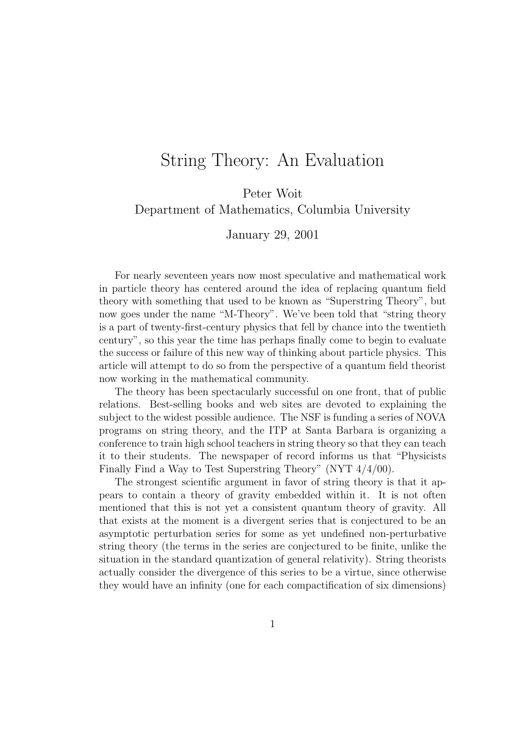## String Theory: An Evaluation

Peter Woit Department of Mathematics, Columbia University

January 29, 2001

For nearly seventeen years now most speculative and mathematical work in particle theory has centered around the idea of replacing quantum field theory with something that used to be known as "Superstring Theory", but now goes under the name "M-Theory". We've been told that "string theory". is a part of twenty-first-century physics that fell by chance into the twentieth century", so this year the time has perhaps finally come to begin to evaluate the success or failure of this new way of thinking about particle physics. This article will attempt to do so from the perspective of a quantum field theorist now working in the mathematical community.

The theory has been spectacularly successful on one front, that of public relations. Best-selling books and web sites are devoted to explaining the subject to the widest possible audience. The NSF is funding a series of NOVA programs on string theory, and the ITP at Santa Barbara is organizing a conference to train high school teachers in string theory so that they can teach it to their students. The newspaper of record informs us that "Physicists Finally Find a Way to Test Superstring Theory" (NYT 4/4/00).

The strongest scientific argument in favor of string theory is that it appears to contain a theory of gravity embedded within it. It is not often mentioned that this is not yet a consistent quantum theory of gravity. All that exists at the moment is a divergent series that is conjectured to be an asymptotic perturbation series for some as yet undefined non-perturbative string theory (the terms in the series are conjectured to be finite, unlike the situation in the standard quantization of general relativity). String theorists actually consider the divergence of this series to be a virtue, since otherwise they would have an infinity (one for each compactification of six dimensions)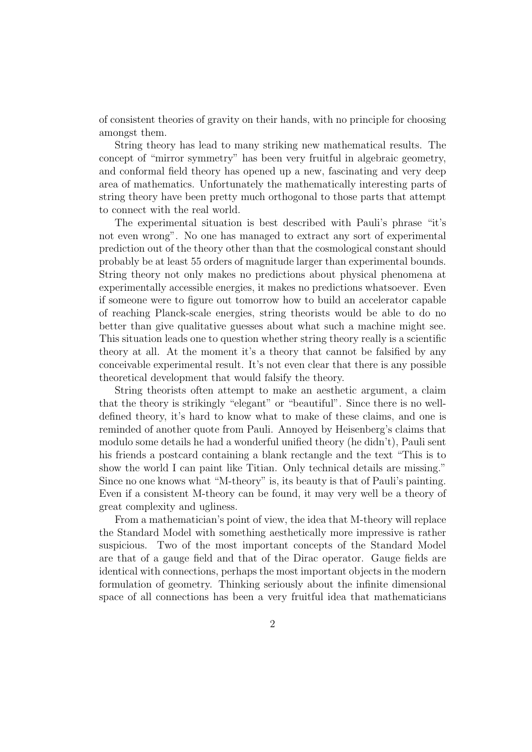of consistent theories of gravity on their hands, with no principle for choosing amongst them.

String theory has lead to many striking new mathematical results. The concept of "mirror symmetry" has been very fruitful in algebraic geometry, and conformal field theory has opened up a new, fascinating and very deep area of mathematics. Unfortunately the mathematically interesting parts of string theory have been pretty much orthogonal to those parts that attempt to connect with the real world.

The experimental situation is best described with Pauli's phrase "it's not even wrong". No one has managed to extract any sort of experimental prediction out of the theory other than that the cosmological constant should probably be at least 55 orders of magnitude larger than experimental bounds. String theory not only makes no predictions about physical phenomena at experimentally accessible energies, it makes no predictions whatsoever. Even if someone were to figure out tomorrow how to build an accelerator capable of reaching Planck-scale energies, string theorists would be able to do no better than give qualitative guesses about what such a machine might see. This situation leads one to question whether string theory really is a scientific theory at all. At the moment it's a theory that cannot be falsified by any conceivable experimental result. It's not even clear that there is any possible theoretical development that would falsify the theory.

String theorists often attempt to make an aesthetic argument, a claim that the theory is strikingly "elegant" or "beautiful". Since there is no welldefined theory, it's hard to know what to make of these claims, and one is reminded of another quote from Pauli. Annoyed by Heisenberg's claims that modulo some details he had a wonderful unified theory (he didn't), Pauli sent his friends a postcard containing a blank rectangle and the text "This is to show the world I can paint like Titian. Only technical details are missing." Since no one knows what "M-theory" is, its beauty is that of Pauli's painting. Even if a consistent M-theory can be found, it may very well be a theory of great complexity and ugliness.

From a mathematician's point of view, the idea that M-theory will replace the Standard Model with something aesthetically more impressive is rather suspicious. Two of the most important concepts of the Standard Model are that of a gauge field and that of the Dirac operator. Gauge fields are identical with connections, perhaps the most important objects in the modern formulation of geometry. Thinking seriously about the infinite dimensional space of all connections has been a very fruitful idea that mathematicians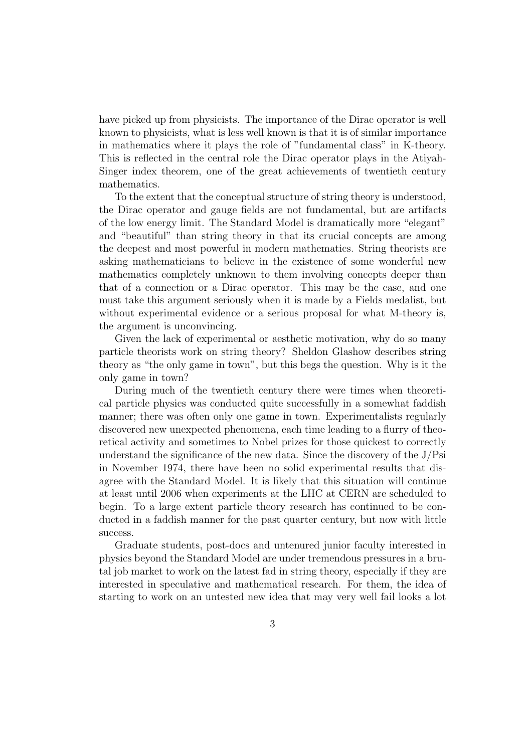have picked up from physicists. The importance of the Dirac operator is well known to physicists, what is less well known is that it is of similar importance in mathematics where it plays the role of "fundamental class" in K-theory. This is reflected in the central role the Dirac operator plays in the Atiyah-Singer index theorem, one of the great achievements of twentieth century mathematics.

To the extent that the conceptual structure of string theory is understood, the Dirac operator and gauge fields are not fundamental, but are artifacts of the low energy limit. The Standard Model is dramatically more "elegant" and "beautiful" than string theory in that its crucial concepts are among the deepest and most powerful in modern mathematics. String theorists are asking mathematicians to believe in the existence of some wonderful new mathematics completely unknown to them involving concepts deeper than that of a connection or a Dirac operator. This may be the case, and one must take this argument seriously when it is made by a Fields medalist, but without experimental evidence or a serious proposal for what M-theory is, the argument is unconvincing.

Given the lack of experimental or aesthetic motivation, why do so many particle theorists work on string theory? Sheldon Glashow describes string theory as "the only game in town", but this begs the question. Why is it the only game in town?

During much of the twentieth century there were times when theoretical particle physics was conducted quite successfully in a somewhat faddish manner; there was often only one game in town. Experimentalists regularly discovered new unexpected phenomena, each time leading to a flurry of theoretical activity and sometimes to Nobel prizes for those quickest to correctly understand the significance of the new data. Since the discovery of the  $J/Psi$ in November 1974, there have been no solid experimental results that disagree with the Standard Model. It is likely that this situation will continue at least until 2006 when experiments at the LHC at CERN are scheduled to begin. To a large extent particle theory research has continued to be conducted in a faddish manner for the past quarter century, but now with little success.

Graduate students, post-docs and untenured junior faculty interested in physics beyond the Standard Model are under tremendous pressures in a brutal job market to work on the latest fad in string theory, especially if they are interested in speculative and mathematical research. For them, the idea of starting to work on an untested new idea that may very well fail looks a lot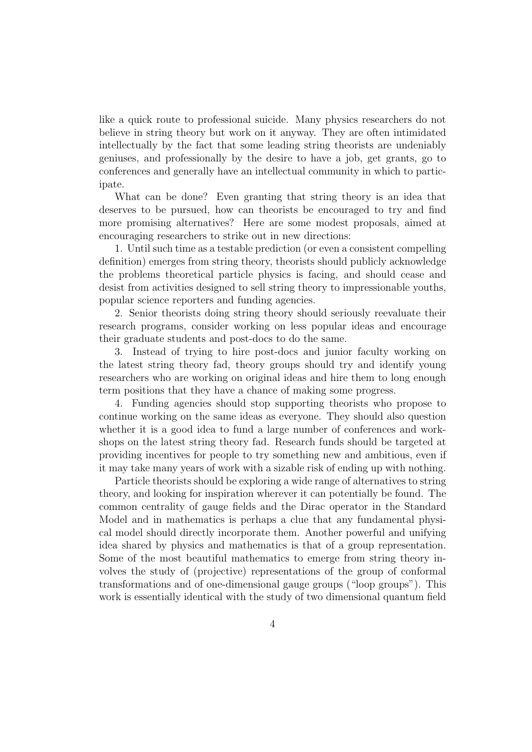like a quick route to professional suicide. Many physics researchers do not believe in string theory but work on it anyway. They are often intimidated intellectually by the fact that some leading string theorists are undeniably geniuses, and professionally by the desire to have a job, get grants, go to conferences and generally have an intellectual community in which to participate.

What can be done? Even granting that string theory is an idea that deserves to be pursued, how can theorists be encouraged to try and find more promising alternatives? Here are some modest proposals, aimed at encouraging researchers to strike out in new directions:

1. Until such time as a testable prediction (or even a consistent compelling definition) emerges from string theory, theorists should publicly acknowledge the problems theoretical particle physics is facing, and should cease and desist from activities designed to sell string theory to impressionable youths, popular science reporters and funding agencies.

2. Senior theorists doing string theory should seriously reevaluate their research programs, consider working on less popular ideas and encourage their graduate students and post-docs to do the same.

3. Instead of trying to hire post-docs and junior faculty working on the latest string theory fad, theory groups should try and identify young researchers who are working on original ideas and hire them to long enough term positions that they have a chance of making some progress.

4. Funding agencies should stop supporting theorists who propose to continue working on the same ideas as everyone. They should also question whether it is a good idea to fund a large number of conferences and workshops on the latest string theory fad. Research funds should be targeted at providing incentives for people to try something new and ambitious, even if it may take many years of work with a sizable risk of ending up with nothing.

Particle theorists should be exploring a wide range of alternatives to string theory, and looking for inspiration wherever it can potentially be found. The common centrality of gauge fields and the Dirac operator in the Standard Model and in mathematics is perhaps a clue that any fundamental physical model should directly incorporate them. Another powerful and unifying idea shared by physics and mathematics is that of a group representation. Some of the most beautiful mathematics to emerge from string theory involves the study of (projective) representations of the group of conformal transformations and of one-dimensional gauge groups ("loop groups"). This work is essentially identical with the study of two dimensional quantum field